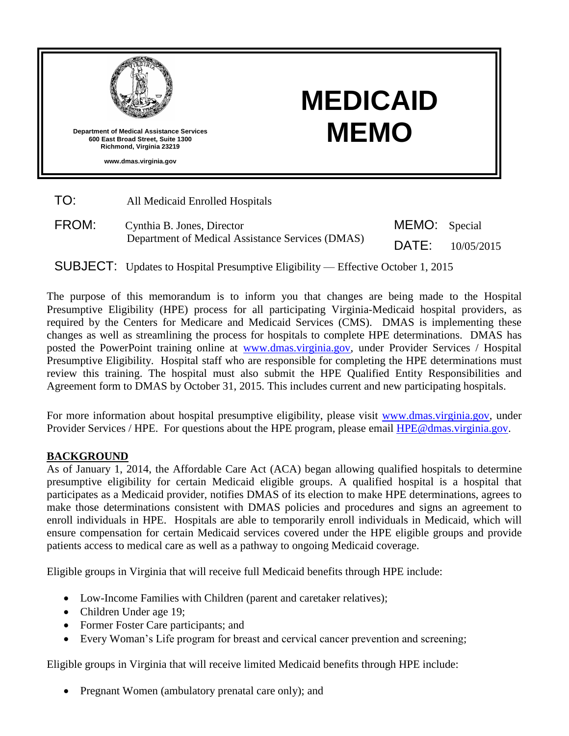

# **MEDICAID MEMO**

| TO: | All Medicaid Enrolled Hospitals |
|-----|---------------------------------|
|-----|---------------------------------|

| FROM: | Cynthia B. Jones, Director<br>Department of Medical Assistance Services (DMAS) | MEMO: Special |            |
|-------|--------------------------------------------------------------------------------|---------------|------------|
|       |                                                                                | DATE:         | 10/05/2015 |

SUBJECT: Updates to Hospital Presumptive Eligibility — Effective October 1, 2015

The purpose of this memorandum is to inform you that changes are being made to the Hospital Presumptive Eligibility (HPE) process for all participating Virginia-Medicaid hospital providers, as required by the Centers for Medicare and Medicaid Services (CMS). DMAS is implementing these changes as well as streamlining the process for hospitals to complete HPE determinations. DMAS has posted the PowerPoint training online at [www.dmas.virginia.gov,](http://www.dmas.virginia.gov/) under Provider Services / Hospital Presumptive Eligibility. Hospital staff who are responsible for completing the HPE determinations must review this training. The hospital must also submit the HPE Qualified Entity Responsibilities and Agreement form to DMAS by October 31, 2015. This includes current and new participating hospitals.

For more information about hospital presumptive eligibility, please visit [www.dmas.virginia.gov,](http://www.dmas.virginia.gov/) under Provider Services / HPE. For questions about the HPE program, please email [HPE@dmas.virginia.gov.](mailto:HPE@dmas.virginia.gov)

## **BACKGROUND**

As of January 1, 2014, the Affordable Care Act (ACA) began allowing qualified hospitals to determine presumptive eligibility for certain Medicaid eligible groups. A qualified hospital is a hospital that participates as a Medicaid provider, notifies DMAS of its election to make HPE determinations, agrees to make those determinations consistent with DMAS policies and procedures and signs an agreement to enroll individuals in HPE. Hospitals are able to temporarily enroll individuals in Medicaid, which will ensure compensation for certain Medicaid services covered under the HPE eligible groups and provide patients access to medical care as well as a pathway to ongoing Medicaid coverage.

Eligible groups in Virginia that will receive full Medicaid benefits through HPE include:

- Low-Income Families with Children (parent and caretaker relatives);
- Children Under age 19;
- Former Foster Care participants; and
- Every Woman's Life program for breast and cervical cancer prevention and screening;

Eligible groups in Virginia that will receive limited Medicaid benefits through HPE include:

Pregnant Women (ambulatory prenatal care only); and